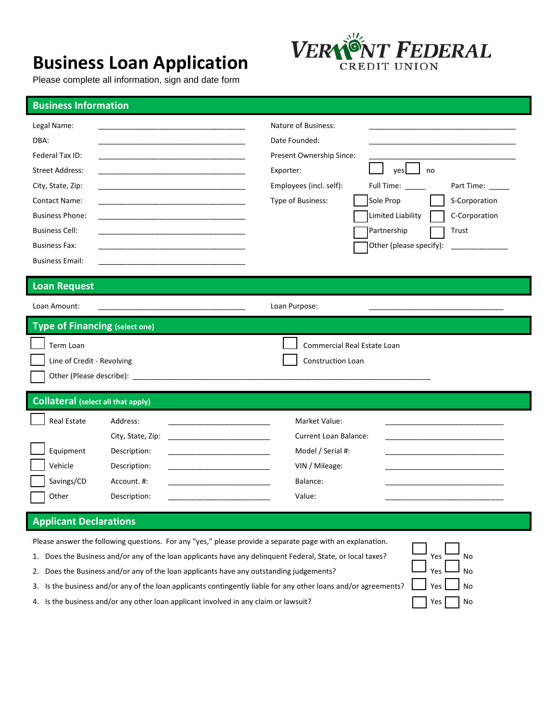# **Business Loan Application**

Please complete all information, sign and date form



## **Business Information**

| Legal Name:<br>DBA:<br>Federal Tax ID:<br><b>Street Address:</b><br>City, State, Zip:<br>Contact Name:<br><b>Business Phone:</b><br><b>Business Cell:</b><br><b>Business Fax:</b><br><b>Business Email:</b> |                                                                                                                                                                                                                                                                                                                                                                                                                                                                                                                         | Nature of Business:<br>Date Founded:<br>Present Ownership Since:<br>yes<br>no<br>Exporter:<br>Employees (incl. self):<br>Full Time: _____<br>Part Time:<br>Sole Prop<br>Type of Business:<br>S-Corporation<br>Limited Liability<br>C-Corporation<br>Partnership<br>Trust<br>Other (please specify): |  |
|-------------------------------------------------------------------------------------------------------------------------------------------------------------------------------------------------------------|-------------------------------------------------------------------------------------------------------------------------------------------------------------------------------------------------------------------------------------------------------------------------------------------------------------------------------------------------------------------------------------------------------------------------------------------------------------------------------------------------------------------------|-----------------------------------------------------------------------------------------------------------------------------------------------------------------------------------------------------------------------------------------------------------------------------------------------------|--|
| <b>Loan Request</b>                                                                                                                                                                                         |                                                                                                                                                                                                                                                                                                                                                                                                                                                                                                                         |                                                                                                                                                                                                                                                                                                     |  |
| Loan Amount:                                                                                                                                                                                                |                                                                                                                                                                                                                                                                                                                                                                                                                                                                                                                         | Loan Purpose:                                                                                                                                                                                                                                                                                       |  |
| <b>Type of Financing (select one)</b><br>Term Loan<br>Line of Credit - Revolving                                                                                                                            | Other (Please describe): example and the state of the state of the state of the state of the state of the state of the state of the state of the state of the state of the state of the state of the state of the state of the                                                                                                                                                                                                                                                                                          | Commercial Real Estate Loan<br>Construction Loan                                                                                                                                                                                                                                                    |  |
| <b>Collateral (select all that apply)</b>                                                                                                                                                                   |                                                                                                                                                                                                                                                                                                                                                                                                                                                                                                                         |                                                                                                                                                                                                                                                                                                     |  |
| <b>Real Estate</b><br>Equipment<br>Vehicle<br>Savings/CD<br>Other                                                                                                                                           | Address:<br><u> 1980 - Johann Barbara, martin amerikan basar dan berasal dalam basar dalam basar dalam basar dalam basar dala</u><br>City, State, Zip:<br>Description:<br>Description:<br><u> 1980 - Johann Barbara, martxa al III-lea (h. 1980).</u><br>Account. #:<br>Description:                                                                                                                                                                                                                                    | Market Value:<br>Current Loan Balance:<br>Model / Serial #:<br>VIN / Mileage:<br>Balance:<br>Value:                                                                                                                                                                                                 |  |
| <b>Applicant Declarations</b>                                                                                                                                                                               |                                                                                                                                                                                                                                                                                                                                                                                                                                                                                                                         |                                                                                                                                                                                                                                                                                                     |  |
| 2.<br>3.                                                                                                                                                                                                    | Please answer the following questions. For any "yes," please provide a separate page with an explanation.<br>1. Does the Business and/or any of the loan applicants have any delinguent Federal, State, or local taxes?<br>Does the Business and/or any of the loan applicants have any outstanding judgements?<br>Is the business and/or any of the loan applicants contingently liable for any other loans and/or agreements?<br>4. Is the business and/or any other loan applicant involved in any claim or lawsuit? | Yes<br>No<br>Yes<br><b>No</b><br>Yes<br>No<br>Yes<br>No                                                                                                                                                                                                                                             |  |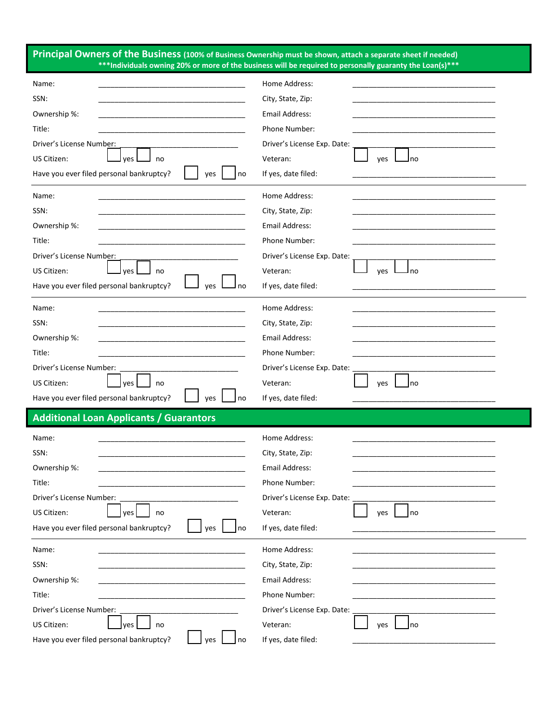**Principal Owners of the Business (100% of Business Ownership must be shown, attach a separate sheet if needed) \*\*\*Individuals owning 20% or more of the business will be required to personally guaranty the Loan(s)\*\*\***

| Name:<br>SSN:                                         | Home Address:<br>City, State, Zip:<br><b>Email Address:</b> |
|-------------------------------------------------------|-------------------------------------------------------------|
| Ownership %:<br>Title:                                | Phone Number:                                               |
| Driver's License Number:                              | Driver's License Exp. Date:                                 |
| US Citizen:<br>yes<br>no                              | Veteran:<br>yes<br>Ino                                      |
| Have you ever filed personal bankruptcy?<br>yes<br>no | If yes, date filed:                                         |
|                                                       |                                                             |
| Name:                                                 | Home Address:                                               |
| SSN:                                                  | City, State, Zip:                                           |
| Ownership %:                                          | <b>Email Address:</b>                                       |
| Title:                                                | Phone Number:                                               |
| Driver's License Number:                              | Driver's License Exp. Date:                                 |
| US Citizen:<br>yes  <br>no                            | Veteran:<br>yes<br>l no                                     |
| Have you ever filed personal bankruptcy?<br>yes<br>no | If yes, date filed:                                         |
| Name:                                                 | Home Address:                                               |
| SSN:                                                  | City, State, Zip:                                           |
| Ownership %:                                          | <b>Email Address:</b>                                       |
| Title:                                                | Phone Number:                                               |
| Driver's License Number:                              | Driver's License Exp. Date:                                 |
| US Citizen:<br>yes<br>no                              | Veteran:<br>yes<br>Ino                                      |
| Have you ever filed personal bankruptcy?<br>ves<br>no | If yes, date filed:                                         |
| <b>Additional Loan Applicants / Guarantors</b>        |                                                             |
| Name:                                                 | Home Address:                                               |
| SSN:                                                  | City, State, Zip:                                           |
| Ownership %:                                          | <b>Email Address:</b>                                       |
| Title:                                                | Phone Number:                                               |
|                                                       |                                                             |
| Driver's License Number:                              | Driver's License Exp. Date:                                 |
| US Citizen:<br>yes<br>no                              | Veteran:<br>yes<br>l no                                     |
| Have you ever filed personal bankruptcy?<br>yes<br>no | If yes, date filed:                                         |
| Name:                                                 | Home Address:                                               |
| SSN:                                                  | City, State, Zip:                                           |
| Ownership %:                                          | Email Address:                                              |
| Title:                                                | Phone Number:                                               |
| Driver's License Number:                              | Driver's License Exp. Date:                                 |
| US Citizen:<br>yes<br>no                              | Veteran:<br>yes<br>Ino                                      |
| Have you ever filed personal bankruptcy?<br>yes<br>no | If yes, date filed:                                         |